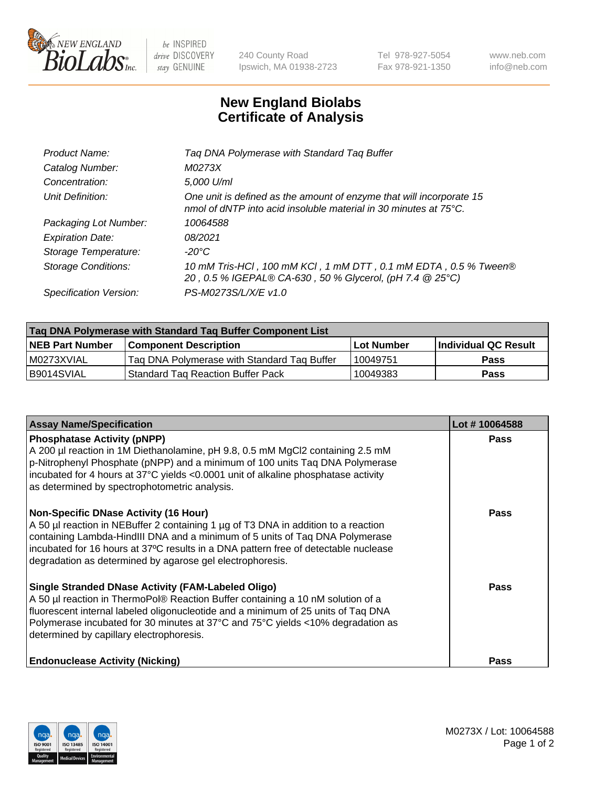

be INSPIRED drive DISCOVERY stay GENUINE

240 County Road Ipswich, MA 01938-2723 Tel 978-927-5054 Fax 978-921-1350 www.neb.com info@neb.com

## **New England Biolabs Certificate of Analysis**

| Product Name:           | Tag DNA Polymerase with Standard Tag Buffer                                                                                                        |
|-------------------------|----------------------------------------------------------------------------------------------------------------------------------------------------|
| Catalog Number:         | M0273X                                                                                                                                             |
| Concentration:          | 5,000 U/ml                                                                                                                                         |
| Unit Definition:        | One unit is defined as the amount of enzyme that will incorporate 15<br>nmol of dNTP into acid insoluble material in 30 minutes at $75^{\circ}$ C. |
| Packaging Lot Number:   | 10064588                                                                                                                                           |
| <b>Expiration Date:</b> | 08/2021                                                                                                                                            |
| Storage Temperature:    | $-20^{\circ}$ C                                                                                                                                    |
| Storage Conditions:     | 10 mM Tris-HCl, 100 mM KCl, 1 mM DTT, 0.1 mM EDTA, 0.5 % Tween®<br>20, 0.5 % IGEPAL® CA-630, 50 % Glycerol, (pH 7.4 @ 25°C)                        |
| Specification Version:  | PS-M0273S/L/X/E v1.0                                                                                                                               |

| Tag DNA Polymerase with Standard Tag Buffer Component List |                                             |                   |                      |  |
|------------------------------------------------------------|---------------------------------------------|-------------------|----------------------|--|
| <b>INEB Part Number</b>                                    | Component Description_                      | <b>Lot Number</b> | Individual QC Result |  |
| I M0273XVIAL                                               | Tag DNA Polymerase with Standard Tag Buffer | 10049751          | Pass                 |  |
| B9014SVIAL                                                 | Standard Tag Reaction Buffer Pack           | 10049383          | <b>Pass</b>          |  |

| <b>Assay Name/Specification</b>                                                                                                                                                                                                                                                                                                                                        | Lot #10064588 |
|------------------------------------------------------------------------------------------------------------------------------------------------------------------------------------------------------------------------------------------------------------------------------------------------------------------------------------------------------------------------|---------------|
| <b>Phosphatase Activity (pNPP)</b><br>A 200 µl reaction in 1M Diethanolamine, pH 9.8, 0.5 mM MgCl2 containing 2.5 mM<br>$\vert$ p-Nitrophenyl Phosphate (pNPP) and a minimum of 100 units Taq DNA Polymerase<br>incubated for 4 hours at 37°C yields <0.0001 unit of alkaline phosphatase activity<br>as determined by spectrophotometric analysis.                    | <b>Pass</b>   |
| <b>Non-Specific DNase Activity (16 Hour)</b><br>A 50 µl reaction in NEBuffer 2 containing 1 µg of T3 DNA in addition to a reaction<br>containing Lambda-HindIII DNA and a minimum of 5 units of Taq DNA Polymerase<br>incubated for 16 hours at 37°C results in a DNA pattern free of detectable nuclease<br>degradation as determined by agarose gel electrophoresis. | <b>Pass</b>   |
| Single Stranded DNase Activity (FAM-Labeled Oligo)<br>A 50 µl reaction in ThermoPol® Reaction Buffer containing a 10 nM solution of a<br>fluorescent internal labeled oligonucleotide and a minimum of 25 units of Taq DNA<br>Polymerase incubated for 30 minutes at 37°C and 75°C yields <10% degradation as<br>determined by capillary electrophoresis.              | Pass          |
| <b>Endonuclease Activity (Nicking)</b>                                                                                                                                                                                                                                                                                                                                 | Pass          |